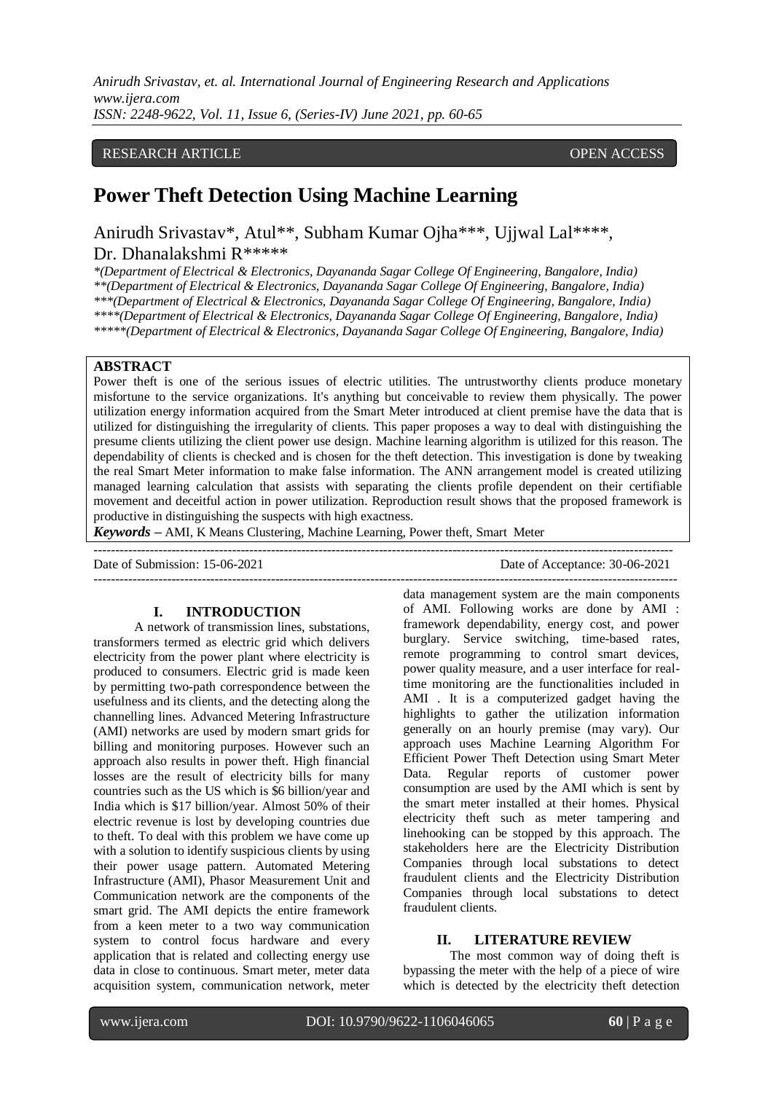## RESEARCH ARTICLE **CONSERVERS** OPEN ACCESS

# **Power Theft Detection Using Machine Learning**

Anirudh Srivastav\*, Atul\*\*, Subham Kumar Ojha\*\*\*, Ujjwal Lal\*\*\*\*, Dr. Dhanalakshmi R\*\*\*\*\*

*\*(Department of Electrical & Electronics, Dayananda Sagar College Of Engineering, Bangalore, India) \*\*(Department of Electrical & Electronics, Dayananda Sagar College Of Engineering, Bangalore, India) \*\*\*(Department of Electrical & Electronics, Dayananda Sagar College Of Engineering, Bangalore, India) \*\*\*\*(Department of Electrical & Electronics, Dayananda Sagar College Of Engineering, Bangalore, India) \*\*\*\*\*(Department of Electrical & Electronics, Dayananda Sagar College Of Engineering, Bangalore, India)*

# **ABSTRACT**

Power theft is one of the serious issues of electric utilities. The untrustworthy clients produce monetary misfortune to the service organizations. It's anything but conceivable to review them physically. The power utilization energy information acquired from the Smart Meter introduced at client premise have the data that is utilized for distinguishing the irregularity of clients. This paper proposes a way to deal with distinguishing the presume clients utilizing the client power use design. Machine learning algorithm is utilized for this reason. The dependability of clients is checked and is chosen for the theft detection. This investigation is done by tweaking the real Smart Meter information to make false information. The ANN arrangement model is created utilizing managed learning calculation that assists with separating the clients profile dependent on their certifiable movement and deceitful action in power utilization. Reproduction result shows that the proposed framework is productive in distinguishing the suspects with high exactness.

*Keywords* **–** AMI, K Means Clustering, Machine Learning, Power theft, Smart Meter

| Date of Submission: 15-06-2021 | Date of Acceptance: 30-06-2021 |
|--------------------------------|--------------------------------|
|                                |                                |

#### **I. INTRODUCTION**

A network of transmission lines, substations, transformers termed as electric grid which delivers electricity from the power plant where electricity is produced to consumers. Electric grid is made keen by permitting two-path correspondence between the usefulness and its clients, and the detecting along the channelling lines. Advanced Metering Infrastructure (AMI) networks are used by modern smart grids for billing and monitoring purposes. However such an approach also results in power theft. High financial losses are the result of electricity bills for many countries such as the US which is \$6 billion/year and India which is \$17 billion/year. Almost 50% of their electric revenue is lost by developing countries due to theft. To deal with this problem we have come up with a solution to identify suspicious clients by using their power usage pattern. Automated Metering Infrastructure (AMI), Phasor Measurement Unit and Communication network are the components of the smart grid. The AMI depicts the entire framework from a keen meter to a two way communication system to control focus hardware and every application that is related and collecting energy use data in close to continuous. Smart meter, meter data acquisition system, communication network, meter

data management system are the main components of AMI. Following works are done by AMI : framework dependability, energy cost, and power burglary. Service switching, time-based rates, remote programming to control smart devices, power quality measure, and a user interface for realtime monitoring are the functionalities included in AMI . It is a computerized gadget having the highlights to gather the utilization information generally on an hourly premise (may vary). Our approach uses Machine Learning Algorithm For Efficient Power Theft Detection using Smart Meter Data. Regular reports of customer power consumption are used by the AMI which is sent by the smart meter installed at their homes. Physical electricity theft such as meter tampering and linehooking can be stopped by this approach. The stakeholders here are the Electricity Distribution Companies through local substations to detect fraudulent clients and the Electricity Distribution Companies through local substations to detect fraudulent clients.

#### **II. LITERATURE REVIEW**

The most common way of doing theft is bypassing the meter with the help of a piece of wire which is detected by the electricity theft detection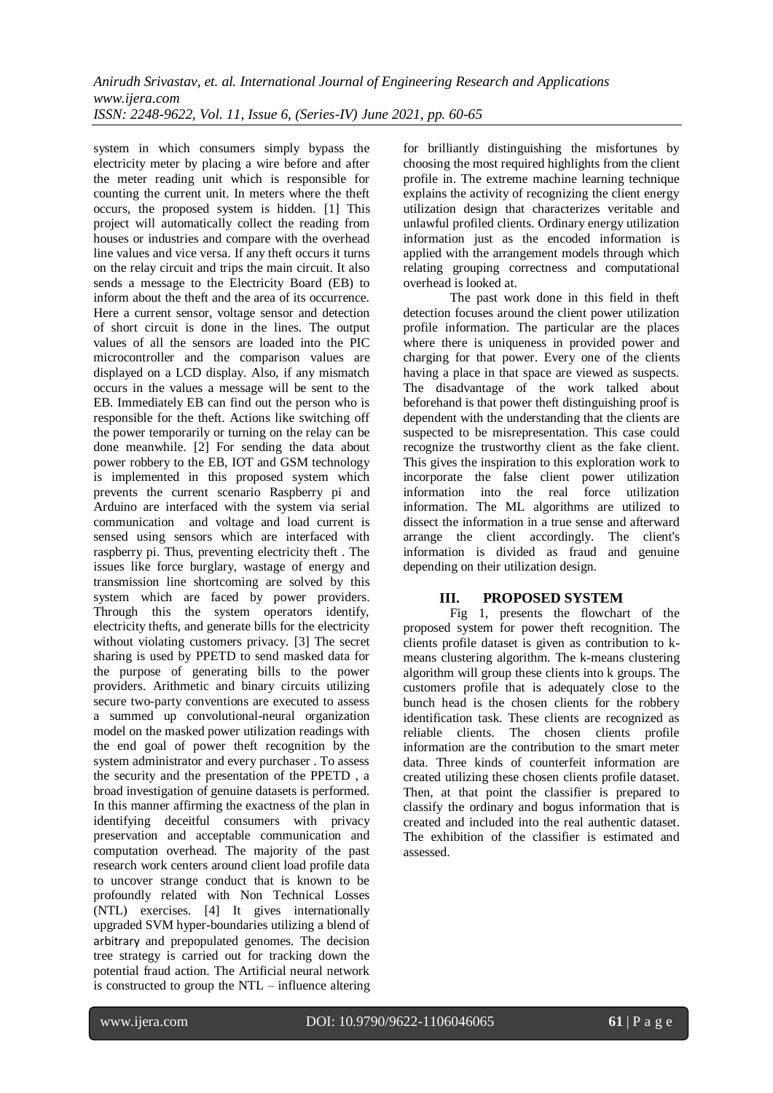system in which consumers simply bypass the electricity meter by placing a wire before and after the meter reading unit which is responsible for counting the current unit. In meters where the theft occurs, the proposed system is hidden. [1] This project will automatically collect the reading from houses or industries and compare with the overhead line values and vice versa. If any theft occurs it turns on the relay circuit and trips the main circuit. It also sends a message to the Electricity Board (EB) to inform about the theft and the area of its occurrence. Here a current sensor, voltage sensor and detection of short circuit is done in the lines. The output values of all the sensors are loaded into the PIC microcontroller and the comparison values are displayed on a LCD display. Also, if any mismatch occurs in the values a message will be sent to the EB. Immediately EB can find out the person who is responsible for the theft. Actions like switching off the power temporarily or turning on the relay can be done meanwhile. [2] For sending the data about power robbery to the EB, IOT and GSM technology is implemented in this proposed system which prevents the current scenario Raspberry pi and Arduino are interfaced with the system via serial communication and voltage and load current is sensed using sensors which are interfaced with raspberry pi. Thus, preventing electricity theft . The issues like force burglary, wastage of energy and transmission line shortcoming are solved by this system which are faced by power providers. Through this the system operators identify, electricity thefts, and generate bills for the electricity without violating customers privacy. [3] The secret sharing is used by PPETD to send masked data for the purpose of generating bills to the power providers. Arithmetic and binary circuits utilizing secure two-party conventions are executed to assess a summed up convolutional-neural organization model on the masked power utilization readings with the end goal of power theft recognition by the system administrator and every purchaser . To assess the security and the presentation of the PPETD , a broad investigation of genuine datasets is performed. In this manner affirming the exactness of the plan in identifying deceitful consumers with privacy preservation and acceptable communication and computation overhead. The majority of the past research work centers around client load profile data to uncover strange conduct that is known to be profoundly related with Non Technical Losses (NTL) exercises. [4] It gives internationally upgraded SVM hyper-boundaries utilizing a blend of arbitrary and prepopulated genomes. The decision tree strategy is carried out for tracking down the potential fraud action. The Artificial neural network is constructed to group the NTL – influence altering for brilliantly distinguishing the misfortunes by choosing the most required highlights from the client profile in. The extreme machine learning technique explains the activity of recognizing the client energy utilization design that characterizes veritable and unlawful profiled clients. Ordinary energy utilization information just as the encoded information is applied with the arrangement models through which relating grouping correctness and computational overhead is looked at.

The past work done in this field in theft detection focuses around the client power utilization profile information. The particular are the places where there is uniqueness in provided power and charging for that power. Every one of the clients having a place in that space are viewed as suspects. The disadvantage of the work talked about beforehand is that power theft distinguishing proof is dependent with the understanding that the clients are suspected to be misrepresentation. This case could recognize the trustworthy client as the fake client. This gives the inspiration to this exploration work to incorporate the false client power utilization information into the real force utilization information. The ML algorithms are utilized to dissect the information in a true sense and afterward arrange the client accordingly. The client's information is divided as fraud and genuine depending on their utilization design.

# **III. PROPOSED SYSTEM**

Fig 1, presents the flowchart of the proposed system for power theft recognition. The clients profile dataset is given as contribution to kmeans clustering algorithm. The k-means clustering algorithm will group these clients into k groups. The customers profile that is adequately close to the bunch head is the chosen clients for the robbery identification task. These clients are recognized as reliable clients. The chosen clients profile information are the contribution to the smart meter data. Three kinds of counterfeit information are created utilizing these chosen clients profile dataset. Then, at that point the classifier is prepared to classify the ordinary and bogus information that is created and included into the real authentic dataset. The exhibition of the classifier is estimated and assessed.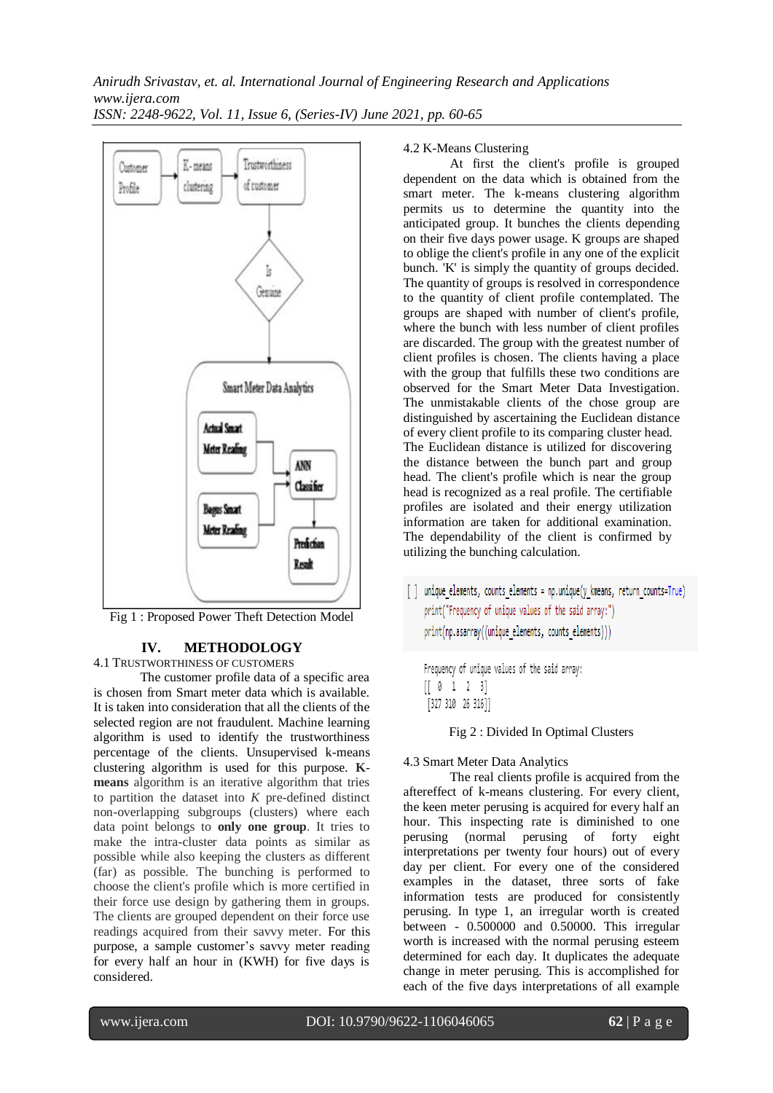

Fig 1 : Proposed Power Theft Detection Model

# **IV. METHODOLOGY**

4.1 TRUSTWORTHINESS OF CUSTOMERS

The customer profile data of a specific area is chosen from Smart meter data which is available. It is taken into consideration that all the clients of the selected region are not fraudulent. Machine learning algorithm is used to identify the trustworthiness percentage of the clients. Unsupervised k-means clustering algorithm is used for this purpose. **Kmeans** algorithm is an iterative algorithm that tries to partition the dataset into *K* pre-defined distinct non-overlapping subgroups (clusters) where each data point belongs to **only one group**. It tries to make the intra-cluster data points as similar as possible while also keeping the clusters as different (far) as possible. The bunching is performed to choose the client's profile which is more certified in their force use design by gathering them in groups. The clients are grouped dependent on their force use readings acquired from their savvy meter. For this purpose, a sample customer's savvy meter reading for every half an hour in (KWH) for five days is considered.

## 4.2 K-Means Clustering

At first the client's profile is grouped dependent on the data which is obtained from the smart meter. The k-means clustering algorithm permits us to determine the quantity into the anticipated group. It bunches the clients depending on their five days power usage. K groups are shaped to oblige the client's profile in any one of the explicit bunch. 'K' is simply the quantity of groups decided. The quantity of groups is resolved in correspondence to the quantity of client profile contemplated. The groups are shaped with number of client's profile, where the bunch with less number of client profiles are discarded. The group with the greatest number of client profiles is chosen. The clients having a place with the group that fulfills these two conditions are observed for the Smart Meter Data Investigation. The unmistakable clients of the chose group are distinguished by ascertaining the Euclidean distance of every client profile to its comparing cluster head. The Euclidean distance is utilized for discovering the distance between the bunch part and group head. The client's profile which is near the group head is recognized as a real profile. The certifiable profiles are isolated and their energy utilization information are taken for additional examination. The dependability of the client is confirmed by utilizing the bunching calculation.

[ ] unique elements, counts elements = np.unique(y kmeans, return counts=True) print("Frequency of unique values of the said array:") print(np.asarray((unique elements, counts elements)))

Frequency of unique values of the said array:  $[ 0 1 2 3]$ [327 310 26 316]]

Fig 2 : Divided In Optimal Clusters

## 4.3 Smart Meter Data Analytics

The real clients profile is acquired from the aftereffect of k-means clustering. For every client, the keen meter perusing is acquired for every half an hour. This inspecting rate is diminished to one perusing (normal perusing of forty eight interpretations per twenty four hours) out of every day per client. For every one of the considered examples in the dataset, three sorts of fake information tests are produced for consistently perusing. In type 1, an irregular worth is created between - 0.500000 and 0.50000. This irregular worth is increased with the normal perusing esteem determined for each day. It duplicates the adequate change in meter perusing. This is accomplished for each of the five days interpretations of all example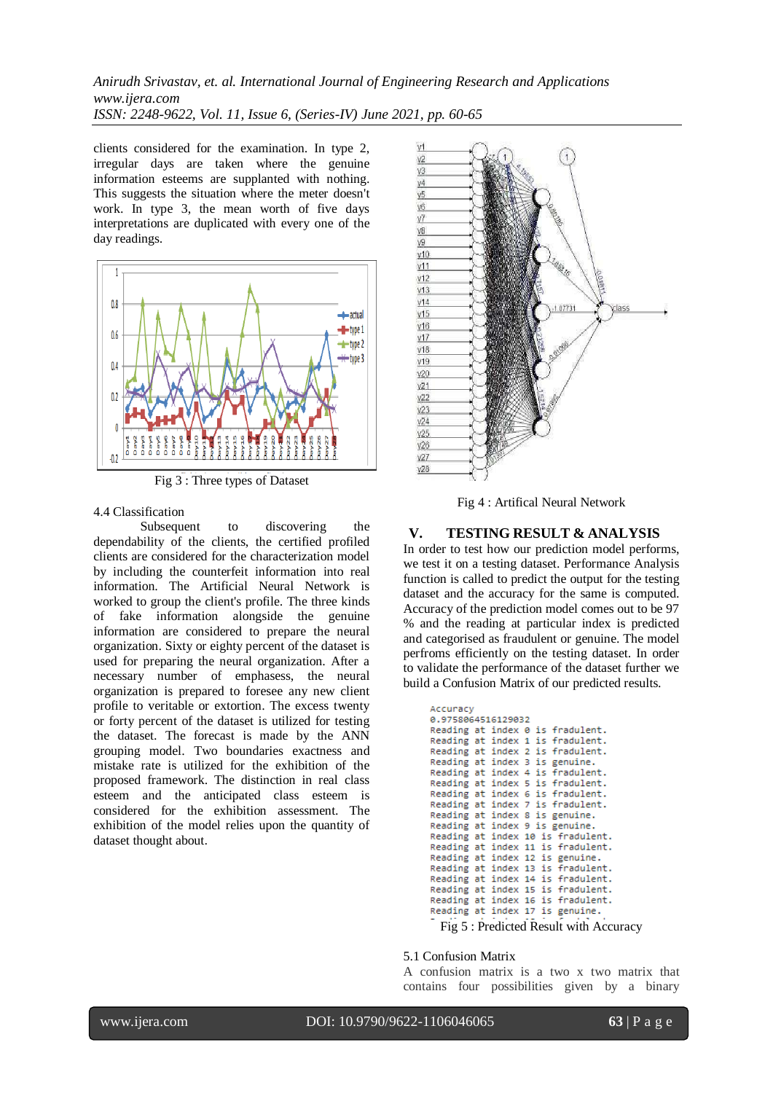clients considered for the examination. In type 2, irregular days are taken where the genuine information esteems are supplanted with nothing. This suggests the situation where the meter doesn't work. In type 3, the mean worth of five days interpretations are duplicated with every one of the day readings.



Fig 3 : Three types of Dataset

#### 4.4 Classification

Subsequent to discovering the dependability of the clients, the certified profiled clients are considered for the characterization model by including the counterfeit information into real information. The Artificial Neural Network is worked to group the client's profile. The three kinds of fake information alongside the genuine information are considered to prepare the neural organization. Sixty or eighty percent of the dataset is used for preparing the neural organization. After a necessary number of emphasess, the neural organization is prepared to foresee any new client profile to veritable or extortion. The excess twenty or forty percent of the dataset is utilized for testing the dataset. The forecast is made by the ANN grouping model. Two boundaries exactness and mistake rate is utilized for the exhibition of the proposed framework. The distinction in real class esteem and the anticipated class esteem is considered for the exhibition assessment. The exhibition of the model relies upon the quantity of dataset thought about.



Fig 4 : Artifical Neural Network

## **V. TESTING RESULT & ANALYSIS**

In order to test how our prediction model performs, we test it on a testing dataset. Performance Analysis function is called to predict the output for the testing dataset and the accuracy for the same is computed. Accuracy of the prediction model comes out to be 97 % and the reading at particular index is predicted and categorised as fraudulent or genuine. The model perfroms efficiently on the testing dataset. In order to validate the performance of the dataset further we build a Confusion Matrix of our predicted results.

|  | Accuracy                              |  |  |  |  |                                   |  |  |
|--|---------------------------------------|--|--|--|--|-----------------------------------|--|--|
|  | 0.9758064516129032                    |  |  |  |  |                                   |  |  |
|  |                                       |  |  |  |  | Reading at index 0 is fradulent.  |  |  |
|  |                                       |  |  |  |  | Reading at index 1 is fradulent.  |  |  |
|  |                                       |  |  |  |  | Reading at index 2 is fradulent.  |  |  |
|  |                                       |  |  |  |  | Reading at index 3 is genuine.    |  |  |
|  |                                       |  |  |  |  | Reading at index 4 is fradulent.  |  |  |
|  |                                       |  |  |  |  | Reading at index 5 is fradulent.  |  |  |
|  |                                       |  |  |  |  | Reading at index 6 is fradulent.  |  |  |
|  |                                       |  |  |  |  | Reading at index 7 is fradulent.  |  |  |
|  |                                       |  |  |  |  | Reading at index 8 is genuine.    |  |  |
|  |                                       |  |  |  |  | Reading at index 9 is genuine.    |  |  |
|  |                                       |  |  |  |  | Reading at index 10 is fradulent. |  |  |
|  |                                       |  |  |  |  | Reading at index 11 is fradulent. |  |  |
|  |                                       |  |  |  |  | Reading at index 12 is genuine.   |  |  |
|  |                                       |  |  |  |  | Reading at index 13 is fradulent. |  |  |
|  |                                       |  |  |  |  | Reading at index 14 is fradulent. |  |  |
|  |                                       |  |  |  |  | Reading at index 15 is fradulent. |  |  |
|  |                                       |  |  |  |  | Reading at index 16 is fradulent. |  |  |
|  |                                       |  |  |  |  | Reading at index 17 is genuine.   |  |  |
|  |                                       |  |  |  |  |                                   |  |  |
|  | Fig 5: Predicted Result with Accuracy |  |  |  |  |                                   |  |  |

#### 5.1 Confusion Matrix

A confusion matrix is a two x two matrix that contains four possibilities given by a binary

www.ijera.com DOI: 10.9790/9622-1106046065 **63** | P a g e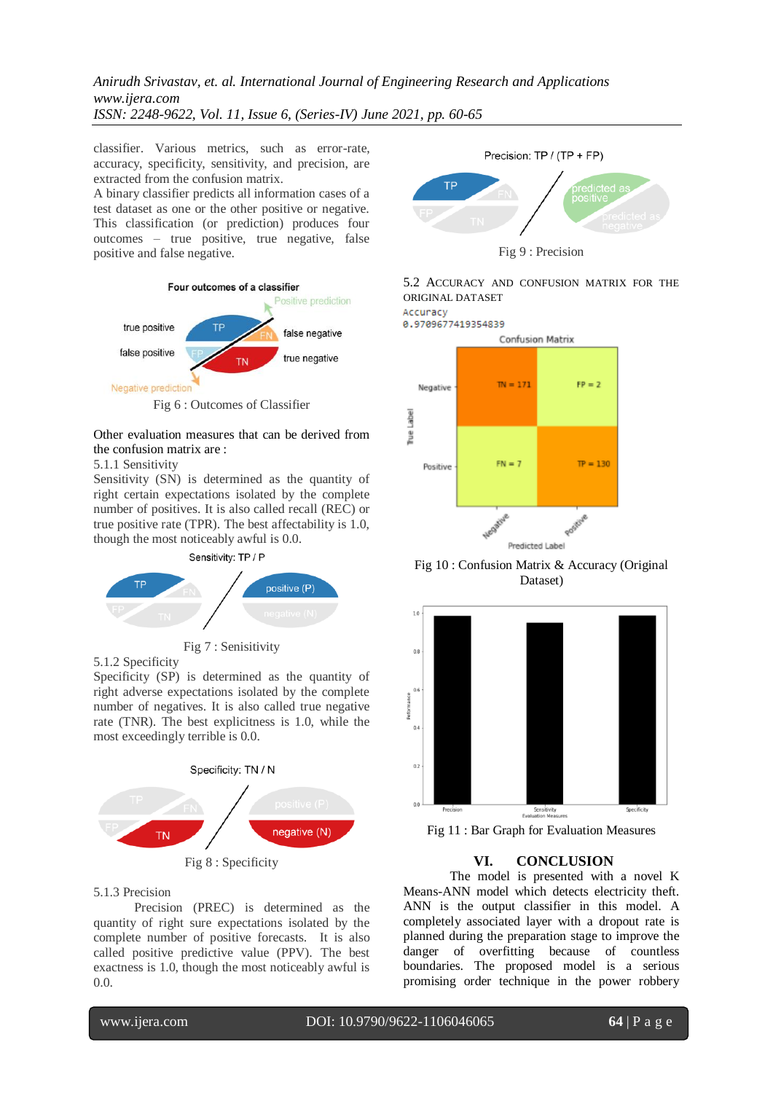classifier. Various metrics, such as error-rate, accuracy, specificity, sensitivity, and precision, are extracted from the confusion matrix.

A binary classifier predicts all information cases of a test dataset as one or the other positive or negative. This classification (or prediction) produces four outcomes – true positive, true negative, false positive and false negative.



Other evaluation measures that can be derived from the confusion matrix are :

#### 5.1.1 Sensitivity

Sensitivity (SN) is determined as the quantity of right certain expectations isolated by the complete number of positives. It is also called recall (REC) or true positive rate (TPR). The best affectability is 1.0, though the most noticeably awful is 0.0.





5.1.2 Specificity

Specificity (SP) is determined as the quantity of right adverse expectations isolated by the complete number of negatives. It is also called true negative rate (TNR). The best explicitness is 1.0, while the most exceedingly terrible is 0.0.



## 5.1.3 Precision

Precision (PREC) is determined as the quantity of right sure expectations isolated by the complete number of positive forecasts. It is also called positive predictive value (PPV). The best exactness is 1.0, though the most noticeably awful is 0.0.



Fig 9 : Precision

## 5.2 ACCURACY AND CONFUSION MATRIX FOR THE ORIGINAL DATASET

Accuracy 0.9709677419354839



Fig 10 : Confusion Matrix & Accuracy (Original Dataset)



Fig 11 : Bar Graph for Evaluation Measures

# **VI. CONCLUSION**

The model is presented with a novel K Means-ANN model which detects electricity theft. ANN is the output classifier in this model. A completely associated layer with a dropout rate is planned during the preparation stage to improve the danger of overfitting because of countless boundaries. The proposed model is a serious promising order technique in the power robbery